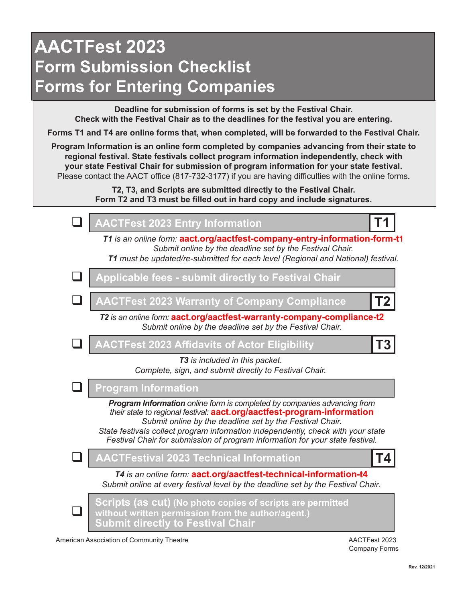## **AACTFest 2023 Form Submission Checklist Forms for Entering Companies**

**Deadline for submission of forms is set by the Festival Chair. Check with the Festival Chair as to the deadlines for the festival you are entering.**

**Forms T1 and T4 are online forms that, when completed, will be forwarded to the Festival Chair.** 

**Program Information is an online form completed by companies advancing from their state to regional festival. State festivals collect program information independently, check with your state Festival Chair for submission of program information for your state festival.**  Please contact the AACT office (817-732-3177) if you are having difficulties with the online forms**.**

> **T2, T3, and Scripts are submitted directly to the Festival Chair. Form T2 and T3 must be filled out in hard copy and include signatures.**



American Association of Community Theatre And Actual Community Theatre AACTFest 2023

Company Forms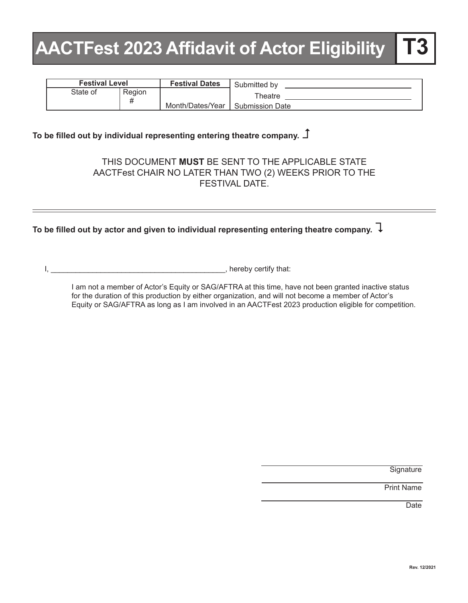# **AACTFest 2023 Affidavit of Actor Eligibility**

| <b>Festival Level</b> |                                 | <b>Festival Dates</b> | Submitted by                      |
|-----------------------|---------------------------------|-----------------------|-----------------------------------|
| State of              | Region<br>#<br>Month/Dates/Year |                       | Theatre<br><b>Submission Date</b> |

## To be filled out by individual representing entering theatre company.  $\Box$

### THIS DOCUMENT **MUST** BE SENT TO THE APPLICABLE STATE AACTFest CHAIR NO LATER THAN TWO (2) WEEKS PRIOR TO THE FESTIVAL DATE.

## To be filled out by actor and given to individual representing entering theatre company.  $\overline{\downarrow}$

I, \_\_\_\_\_\_\_\_\_\_\_\_\_\_\_\_\_\_\_\_\_\_\_\_\_\_\_\_\_\_\_\_\_\_\_\_\_\_\_\_\_\_, hereby certify that:

I am not a member of Actor's Equity or SAG/AFTRA at this time, have not been granted inactive status for the duration of this production by either organization, and will not become a member of Actor's Equity or SAG/AFTRA as long as I am involved in an AACTFest 2023 production eligible for competition.

**Signature** 

Print Name

**Date**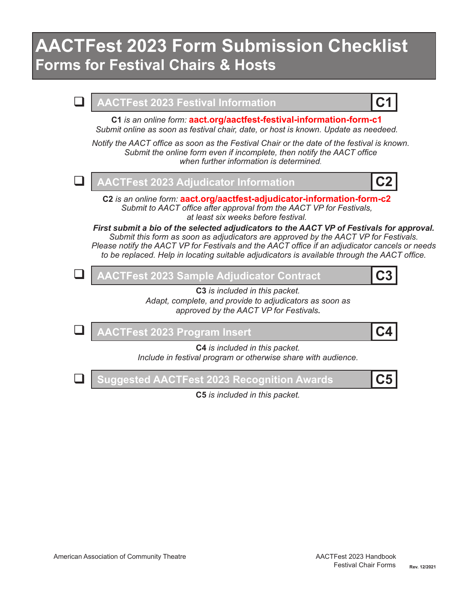## **AACTFest 2023 Form Submission Checklist Forms for Festival Chairs & Hosts**



**C5** *is included in this packet.*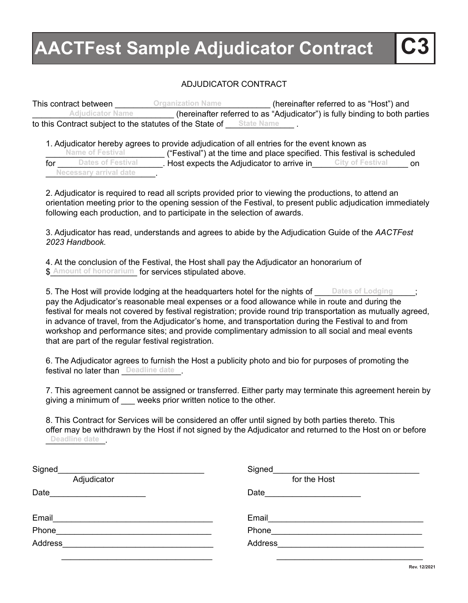# **AACTFest Sample Adjudicator Contract C3**

### ADJUDICATOR CONTRACT

This contract between \_\_\_\_\_\_\_\_\_\_\_\_\_\_\_\_\_\_\_\_\_\_\_\_\_\_\_\_\_\_\_\_\_\_ (hereinafter referred to as "Host") and **Organization Name** \_\_\_\_\_\_\_\_\_\_\_\_\_\_\_\_\_\_\_\_\_\_\_\_\_\_\_\_\_\_\_ (hereinafter referred to as "Adjudicator") is fully binding to both parties to this Contract subject to the statutes of the State of <u>State Name</u>... **Adjudicator Name**

1. Adjudicator hereby agrees to provide adjudication of all entries for the event known as Name of Festival ("Festival") at the time and place specified. This festival is scheduled<br>Dates of Festival Host expects the Adjudicator to arrive in City of Festival or for <u>Cates of Festival Connect</u> Host expects the Adjudicator to arrive in City of Festival Connect Connect Connect \_\_\_\_\_\_\_\_\_\_\_\_\_\_\_\_\_\_\_\_\_\_\_\_. **Necessary arrival date Name of Festival**

2. Adjudicator is required to read all scripts provided prior to viewing the productions, to attend an orientation meeting prior to the opening session of the Festival, to present public adjudication immediately following each production, and to participate in the selection of awards.

3. Adjudicator has read, understands and agrees to abide by the Adjudication Guide of the *AACTFest 2023 Handbook.*

4. At the conclusion of the Festival, the Host shall pay the Adjudicator an honorarium of \$ Amount of honorarium for services stipulated above.

5. The Host will provide lodging at the headquarters hotel for the nights of ware sof Lodging straing pay the Adjudicator's reasonable meal expenses or a food allowance while in route and during the festival for meals not covered by festival registration; provide round trip transportation as mutually agreed, in advance of travel, from the Adjudicator's home, and transportation during the Festival to and from workshop and performance sites; and provide complimentary admission to all social and meal events that are part of the regular festival registration.

6. The Adjudicator agrees to furnish the Host a publicity photo and bio for purposes of promoting the festival no later than **Deadline date** 

7. This agreement cannot be assigned or transferred. Either party may terminate this agreement herein by giving a minimum of weeks prior written notice to the other.

8. This Contract for Services will be considered an offer until signed by both parties thereto. This offer may be withdrawn by the Host if not signed by the Adjudicator and returned to the Host on or before Deadline date \_\_

| Signed                                                                                                                                                                                                                                | Signed           |
|---------------------------------------------------------------------------------------------------------------------------------------------------------------------------------------------------------------------------------------|------------------|
| Adjudicator                                                                                                                                                                                                                           | for the Host     |
| Date<br>the control of the control of the control of the control of the control of the control of the control of the control of the control of the control of the control of the control of the control of the control of the control | Date <b>Date</b> |
| Email                                                                                                                                                                                                                                 | Email            |
| Phone                                                                                                                                                                                                                                 | Phone            |
| Address                                                                                                                                                                                                                               | Address          |
|                                                                                                                                                                                                                                       |                  |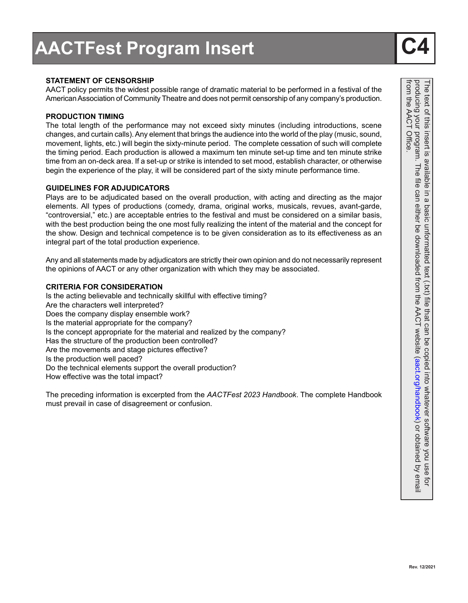### **STATEMENT OF CENSORSHIP**

AACT policy permits the widest possible range of dramatic material to be performed in a festival of the American Association of Community Theatre and does not permit censorship of any company's production.

#### **PRODUCTION TIMING**

The total length of the performance may not exceed sixty minutes (including introductions, scene changes, and curtain calls). Any element that brings the audience into the world of the play (music, sound, movement, lights, etc.) will begin the sixty-minute period. The complete cessation of such will complete the timing period. Each production is allowed a maximum ten minute set-up time and ten minute strike time from an on-deck area. If a set-up or strike is intended to set mood, establish character, or otherwise begin the experience of the play, it will be considered part of the sixty minute performance time.

### **GUIDELINES FOR ADJUDICATORS**

Plays are to be adjudicated based on the overall production, with acting and directing as the major elements. All types of productions (comedy, drama, original works, musicals, revues, avant-garde, "controversial," etc.) are acceptable entries to the festival and must be considered on a similar basis, with the best production being the one most fully realizing the intent of the material and the concept for the show. Design and technical competence is to be given consideration as to its effectiveness as an integral part of the total production experience.

Any and all statements made by adjudicators are strictly their own opinion and do not necessarily represent the opinions of AACT or any other organization with which they may be associated.

#### **CRITERIA FOR CONSIDERATION**

Is the acting believable and technically skillful with effective timing? Are the characters well interpreted? Does the company display ensemble work? Is the material appropriate for the company? Is the concept appropriate for the material and realized by the company? Has the structure of the production been controlled? Are the movements and stage pictures effective? Is the production well paced? Do the technical elements support the overall production? How effective was the total impact?

The preceding information is excerpted from the *AACTFest 2023 Handbook*. The complete Handbook must prevail in case of disagreement or confusion.

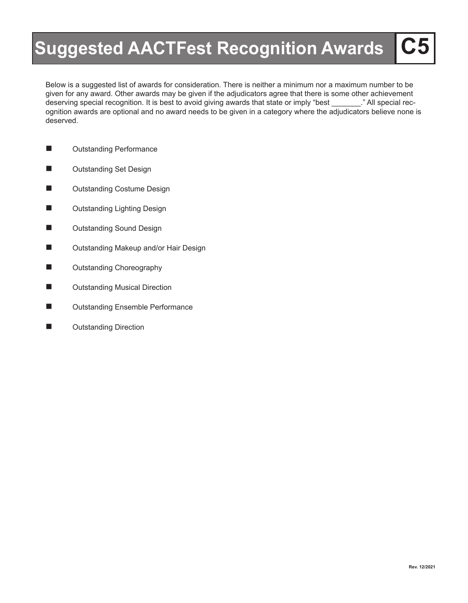# **Suggested AACTFest Recognition Awards**

Below is a suggested list of awards for consideration. There is neither a minimum nor a maximum number to be given for any award. Other awards may be given if the adjudicators agree that there is some other achievement deserving special recognition. It is best to avoid giving awards that state or imply "best \_\_\_\_\_\_\_." All special recognition awards are optional and no award needs to be given in a category where the adjudicators believe none is deserved.

- **n** Outstanding Performance
- **n** Outstanding Set Design
- Outstanding Costume Design
- Outstanding Lighting Design
- **n** Outstanding Sound Design
- Outstanding Makeup and/or Hair Design
- **n** Outstanding Choreography
- Outstanding Musical Direction
- **n** Outstanding Ensemble Performance
- **N** Outstanding Direction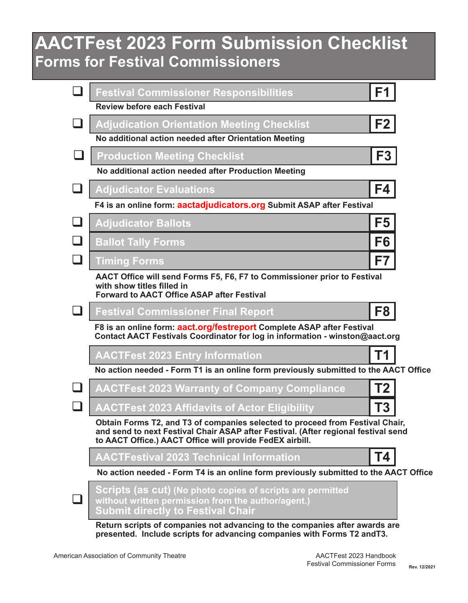## **AACTFest 2023 Form Submission Checklist Forms for Festival Commissioners**

| <b>Festival Commissioner Responsibilities</b>                                                                                                                                                                                   | F1             |
|---------------------------------------------------------------------------------------------------------------------------------------------------------------------------------------------------------------------------------|----------------|
| <b>Review before each Festival</b>                                                                                                                                                                                              |                |
| <b>Adjudication Orientation Meeting Checklist</b>                                                                                                                                                                               | F2             |
| No additional action needed after Orientation Meeting                                                                                                                                                                           |                |
| <b>Production Meeting Checklist</b>                                                                                                                                                                                             | F <sub>3</sub> |
| No additional action needed after Production Meeting                                                                                                                                                                            |                |
| <b>Adjudicator Evaluations</b>                                                                                                                                                                                                  | F4             |
| F4 is an online form: aactadjudicators.org Submit ASAP after Festival                                                                                                                                                           |                |
| <b>Adjudicator Ballots</b>                                                                                                                                                                                                      | F <sub>5</sub> |
| <b>Ballot Tally Forms</b>                                                                                                                                                                                                       | F <sub>6</sub> |
| <b>Timing Forms</b>                                                                                                                                                                                                             | F7             |
| AACT Office will send Forms F5, F6, F7 to Commissioner prior to Festival<br>with show titles filled in<br><b>Forward to AACT Office ASAP after Festival</b>                                                                     |                |
| <b>Festival Commissioner Final Report</b>                                                                                                                                                                                       | F <sub>8</sub> |
| F8 is an online form: aact.org/festreport Complete ASAP after Festival<br>Contact AACT Festivals Coordinator for log in information - winston@aact.org                                                                          |                |
| <b>AACTFest 2023 Entry Information</b>                                                                                                                                                                                          | Τ1             |
| No action needed - Form T1 is an online form previously submitted to the AACT Office                                                                                                                                            |                |
| <b>AACTFest 2023 Warranty of Company Compliance</b>                                                                                                                                                                             | <b>T2</b>      |
| <b>AACTFest 2023 Affidavits of Actor Eligibility</b>                                                                                                                                                                            | <b>T3</b>      |
| Obtain Forms T2, and T3 of companies selected to proceed from Festival Chair,<br>and send to next Festival Chair ASAP after Festival. (After regional festival send<br>to AACT Office.) AACT Office will provide FedEX airbill. |                |
| AACTFestival 2023 Technical Information                                                                                                                                                                                         | Т4             |
| No action needed - Form T4 is an online form previously submitted to the AACT Office                                                                                                                                            |                |
| <u>Scripts (as cut) (No photo copies of scripts are permitted</u><br>without written permission from the author/agent.)<br>Submit directly to Festival Chair                                                                    |                |
| Return scripts of companies not advancing to the companies after awards are<br>presented. Include scripts for advancing companies with Forms T2 and T3.                                                                         |                |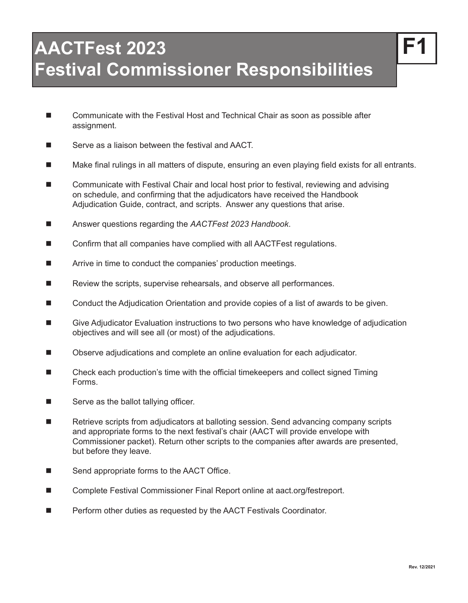- Communicate with the Festival Host and Technical Chair as soon as possible after assignment.
- $\blacksquare$  Serve as a liaison between the festival and AACT.
- Make final rulings in all matters of dispute, ensuring an even playing field exists for all entrants.
- Communicate with Festival Chair and local host prior to festival, reviewing and advising on schedule, and confirming that the adjudicators have received the Handbook Adjudication Guide, contract, and scripts. Answer any questions that arise.
- Answer questions regarding the *AACTFest 2023 Handbook*.
- $\blacksquare$  Confirm that all companies have complied with all AACTFest regulations.
- $\blacksquare$  Arrive in time to conduct the companies' production meetings.
- $\blacksquare$  Review the scripts, supervise rehearsals, and observe all performances.
- Conduct the Adjudication Orientation and provide copies of a list of awards to be given.
- Give Adjudicator Evaluation instructions to two persons who have knowledge of adjudication objectives and will see all (or most) of the adjudications.
- Observe adjudications and complete an online evaluation for each adjudicator.
- $\blacksquare$  Check each production's time with the official timekeepers and collect signed Timing Forms.
- $\blacksquare$  Serve as the ballot tallying officer.
- $\blacksquare$  Retrieve scripts from adjudicators at balloting session. Send advancing company scripts and appropriate forms to the next festival's chair (AACT will provide envelope with Commissioner packet). Return other scripts to the companies after awards are presented, but before they leave.
- $\blacksquare$  Send appropriate forms to the AACT Office.
- Complete Festival Commissioner Final Report online at aact.org/festreport.
- Perform other duties as requested by the AACT Festivals Coordinator.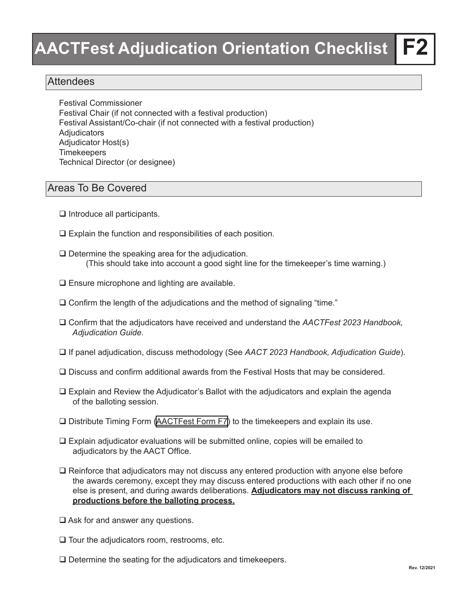## **Attendees**

Festival Commissioner Festival Chair (if not connected with a festival production) Festival Assistant/Co-chair (if not connected with a festival production) **Adjudicators** Adjudicator Host(s) Timekeepers Technical Director (or designee)

## Areas To Be Covered

- $\Box$  Introduce all participants.
- $\Box$  Explain the function and responsibilities of each position.
- $\Box$  Determine the speaking area for the adjudication. (This should take into account a good sight line for the timekeeper's time warning.)
- $\square$  Ensure microphone and lighting are available.
- $\Box$  Confirm the length of the adjudications and the method of signaling "time."
- □ Confirm that the adjudicators have received and understand the *AACTFest 2023 Handbook*.  *Adjudication Guide*.
- □ If panel adjudication, discuss methodology (See *AACT 2023 Handbook, Adjudication Guide*).
- $\Box$  Discuss and confirm additional awards from the Festival Hosts that may be considered.
- $\Box$  Explain and Review the Adjudicator's Ballot with the adjudicators and explain the agenda of the balloting session.
- $\Box$  Distribute Timing Form (AACTFest Form F7) to the timekeepers and explain its use.
- $\Box$  Explain adjudicator evaluations will be submitted online, copies will be emailed to adjudicators by the AACT Office.
- $\Box$  Reinforce that adjudicators may not discuss any entered production with anyone else before the awards ceremony, except they may discuss entered productions with each other if no one else is present, and during awards deliberations. **Adjudicators may not discuss ranking of productions before the balloting process.**
- $\Box$  Ask for and answer any questions.
- $\Box$  Tour the adjudicators room, restrooms, etc.
- $\Box$  Determine the seating for the adjudicators and timekeepers.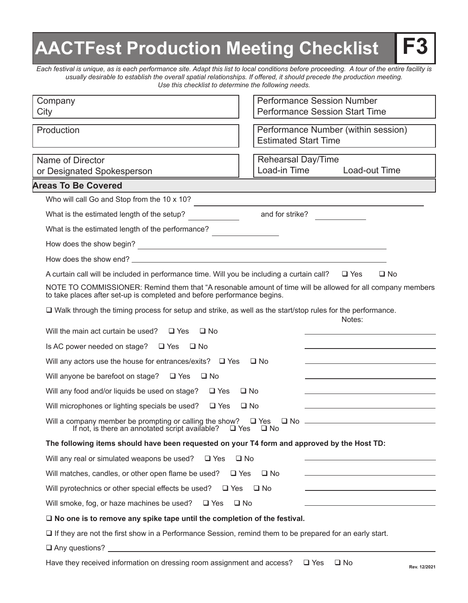# **AACTFest Production Meeting Checklist**

*Each festival is unique, as is each performance site. Adapt this list to local conditions before proceeding. A tour of the entire facility is usually desirable to establish the overall spatial relationships. If offered, it should precede the production meeting. Use this checklist to determine the following needs.*

| Company<br>City                                                                                                                            | <b>Performance Session Number</b><br><b>Performance Session Start Time</b>                                 |
|--------------------------------------------------------------------------------------------------------------------------------------------|------------------------------------------------------------------------------------------------------------|
| Production                                                                                                                                 | Performance Number (within session)<br><b>Estimated Start Time</b>                                         |
| Name of Director<br>or Designated Spokesperson                                                                                             | Rehearsal Day/Time<br>Load-in Time<br>Load-out Time                                                        |
| <b>Areas To Be Covered</b>                                                                                                                 |                                                                                                            |
| Who will call Go and Stop from the 10 x 10?                                                                                                |                                                                                                            |
| What is the estimated length of the setup? and for strike?                                                                                 |                                                                                                            |
| What is the estimated length of the performance?                                                                                           |                                                                                                            |
| How does the show begin?                                                                                                                   |                                                                                                            |
|                                                                                                                                            |                                                                                                            |
| A curtain call will be included in performance time. Will you be including a curtain call? $\Box$ Yes                                      | $\square$ No                                                                                               |
| to take places after set-up is completed and before performance begins.                                                                    | NOTE TO COMMISSIONER: Remind them that "A resonable amount of time will be allowed for all company members |
| $\Box$ Walk through the timing process for setup and strike, as well as the start/stop rules for the performance.                          | Notes:                                                                                                     |
| Will the main act curtain be used? $\Box$ Yes $\Box$ No                                                                                    |                                                                                                            |
| Is AC power needed on stage? $\Box$ Yes $\Box$ No                                                                                          | the control of the control of the control of the control of the control of                                 |
| Will any actors use the house for entrances/exits? $\Box$ Yes $\Box$ No                                                                    |                                                                                                            |
| Will anyone be barefoot on stage? $\Box$ Yes $\Box$ No                                                                                     |                                                                                                            |
| Will any food and/or liquids be used on stage? $\Box$ Yes                                                                                  | ⊟ No                                                                                                       |
| Will microphones or lighting specials be used? $\Box$ Yes                                                                                  | □ No                                                                                                       |
| Will a company member be prompting or calling the show? $\Box$ Yes<br>If not, is there an annotated script available? $\Box$ Yes $\Box$ No | □ No <u>_________________________________</u>                                                              |
| The following items should have been requested on your T4 form and approved by the Host TD:                                                |                                                                                                            |
| Will any real or simulated weapons be used?<br>$\Box$ Yes                                                                                  | $\square$ No                                                                                               |
| Will matches, candles, or other open flame be used?<br>$\Box$ Yes                                                                          | $\square$ No                                                                                               |
| Will pyrotechnics or other special effects be used? $\Box$ Yes $\Box$ No                                                                   |                                                                                                            |
| Will smoke, fog, or haze machines be used? $\Box$ Yes                                                                                      | $\square$ No                                                                                               |
| $\square$ No one is to remove any spike tape until the completion of the festival.                                                         |                                                                                                            |
| $\Box$ If they are not the first show in a Performance Session, remind them to be prepared for an early start.                             |                                                                                                            |
|                                                                                                                                            |                                                                                                            |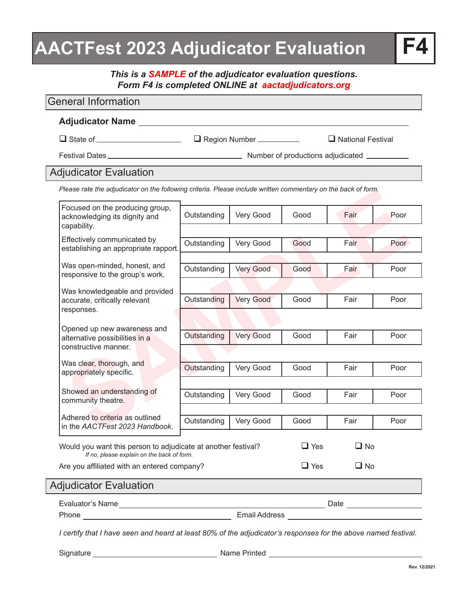# **AACTFest 2023 Adjudicator Evaluation**

*This is a SAMPLE of the adjudicator evaluation questions. Form F4 is completed ONLINE at aactadjudicators.org*

### **Sales rate in the production in the following criteria. Presse include written forminentary off the back or forminental production of the producting fisi dignity and<br>
School of the producting fisial dignity and<br>
School of** General Information **Adjudicator Name** □ State of \_\_\_\_\_\_\_\_\_\_\_\_\_\_\_\_\_\_\_\_\_\_\_\_ □ Region Number \_\_\_\_\_\_\_\_\_\_\_\_ □ National Festival Festival Dates Number of productions adjudicated Adjudicator Evaluation *Please rate the adjudicator on the following criteria. Please include written commentary on the back of form.* Would you want this person to adjudicate at another festival? q Yes  $\Box$  No Are you affiliated with an entered company?  $\Box$  Yes  $\Box$  No *If no, please explain on the back of form.* Focused on the producing group, acknowledging its dignity and capability. Effectively communicated by establishing an appropriate rapport. Was open-minded, honest, and responsive to the group's work. Was knowledgeable and provided accurate, critically relevant responses. Opened up new awareness and alternative possibilities in a constructive manner. Was clear, thorough, and appropriately specific. Showed an understanding of community theatre. Adhered to criteria as outlined in the *AACTFest 2023 Handbook* . Outstanding Very Good Good Fair Poor Outstanding Very Good Good Fair Poor Outstanding Very Good Good Fair Poor Outstanding Very Good Good Fair Poor Outstanding Very Good | Good | Fair | Poor Outstanding Very Good Good Fair Poor Outstanding Very Good Good Fair Poor Outstanding Very Good Good Fair Poor Adjudicator Evaluation

*I certify that I have seen and heard at least 80% of the adjudicator's responses for the above named festival.*

Phone Email Address

Evaluator's Name Date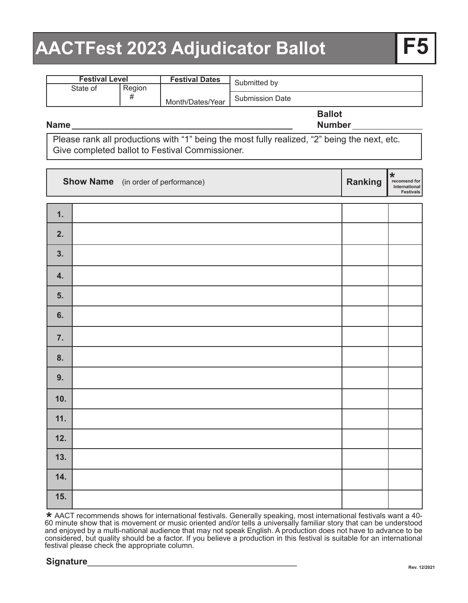# **AACTFest 2023 Adjudicator Ballot**

| <b>Festival Level</b> |        | <b>Festival Dates</b> | Submitted by           |
|-----------------------|--------|-----------------------|------------------------|
| State of              | Region |                       |                        |
| #                     |        | Month/Dates/Year      | <b>Submission Date</b> |
|                       |        |                       | <b>Ballot</b>          |

#### **Name**

**Number**

Please rank all productions with "1" being the most fully realized, "2" being the next, etc. Give completed ballot to Festival Commissioner.

|     | <b>Show Name</b> (in order of performance) | Ranking | $\star$<br>recomend for<br>International<br>Festivals |
|-----|--------------------------------------------|---------|-------------------------------------------------------|
| 1.  |                                            |         |                                                       |
| 2.  |                                            |         |                                                       |
| 3.  |                                            |         |                                                       |
| 4.  |                                            |         |                                                       |
| 5.  |                                            |         |                                                       |
| 6.  |                                            |         |                                                       |
| 7.  |                                            |         |                                                       |
| 8.  |                                            |         |                                                       |
| 9.  |                                            |         |                                                       |
| 10. |                                            |         |                                                       |
| 11. |                                            |         |                                                       |
| 12. |                                            |         |                                                       |
| 13. |                                            |         |                                                       |
| 14. |                                            |         |                                                       |
| 15. |                                            |         |                                                       |

 AACT recommends shows for international festivals. Generally speaking, most international festivals want a 40- 60 minute show that is movement or music oriented and/or tells a universally familiar story that can be understood and enjoyed by a multi-national audience that may not speak English. A production does not have to advance to be considered, but quality should be a factor. If you believe a production in this festival is suitable for an international festival please check the appropriate column. **\***

### **Signature**\_\_\_\_\_\_\_\_\_\_\_\_\_\_\_\_\_\_\_\_\_\_\_\_\_\_\_\_\_\_\_\_\_\_\_\_\_\_\_\_\_\_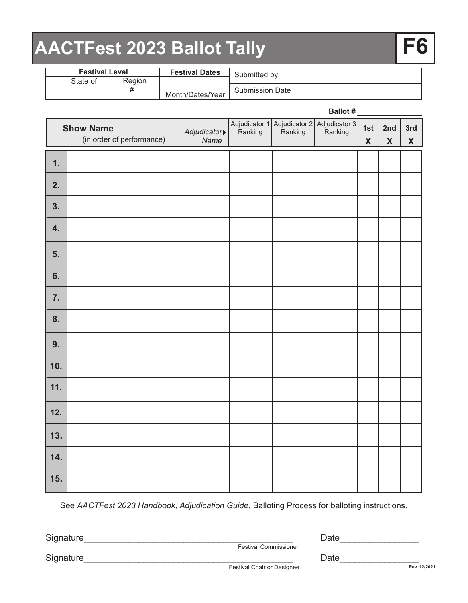# **AACTFest 2023 Ballot Tally F6**

| <b>Festival Level</b> |                       | <b>Festival Dates</b> | Submitted by           |
|-----------------------|-----------------------|-----------------------|------------------------|
| State of              | Region                |                       |                        |
|                       | π<br>Month/Dates/Year |                       | <b>Submission Date</b> |

|     |                                               |                     |  | Ballot #                                                             |                                  |                                  |                     |
|-----|-----------------------------------------------|---------------------|--|----------------------------------------------------------------------|----------------------------------|----------------------------------|---------------------|
|     | <b>Show Name</b><br>(in order of performance) | Adjudicator<br>Name |  | Adjudicator 1 Adjudicator 2 Adjudicator 3<br>Ranking Ranking Ranking | 1st<br>$\boldsymbol{\mathsf{X}}$ | 2nd<br>$\boldsymbol{\mathsf{X}}$ | 3rd<br>$\mathbf{X}$ |
| 1.  |                                               |                     |  |                                                                      |                                  |                                  |                     |
| 2.  |                                               |                     |  |                                                                      |                                  |                                  |                     |
| 3.  |                                               |                     |  |                                                                      |                                  |                                  |                     |
| 4.  |                                               |                     |  |                                                                      |                                  |                                  |                     |
| 5.  |                                               |                     |  |                                                                      |                                  |                                  |                     |
| 6.  |                                               |                     |  |                                                                      |                                  |                                  |                     |
| 7.  |                                               |                     |  |                                                                      |                                  |                                  |                     |
| 8.  |                                               |                     |  |                                                                      |                                  |                                  |                     |
| 9.  |                                               |                     |  |                                                                      |                                  |                                  |                     |
| 10. |                                               |                     |  |                                                                      |                                  |                                  |                     |
| 11. |                                               |                     |  |                                                                      |                                  |                                  |                     |
| 12. |                                               |                     |  |                                                                      |                                  |                                  |                     |
| 13. |                                               |                     |  |                                                                      |                                  |                                  |                     |
| 14. |                                               |                     |  |                                                                      |                                  |                                  |                     |
| 15. |                                               |                     |  |                                                                      |                                  |                                  |                     |

See *AACTFest 2023 Handbook, Adjudication Guide*, Balloting Process for balloting instructions.

Signature\_\_\_\_\_\_\_\_\_\_\_\_\_\_\_\_\_\_\_\_\_\_\_\_\_\_\_\_\_\_\_\_\_\_\_\_\_\_\_\_\_\_ Date\_\_\_\_\_\_\_\_\_\_\_\_\_\_\_\_

Festival Commissioner

Signature\_\_\_\_\_\_\_\_\_\_\_\_\_\_\_\_\_\_\_\_\_\_\_\_\_\_\_\_\_\_\_\_\_\_\_\_\_\_\_\_\_\_ Date\_\_\_\_\_\_\_\_\_\_\_\_\_\_\_\_

Festival Chair or Designee